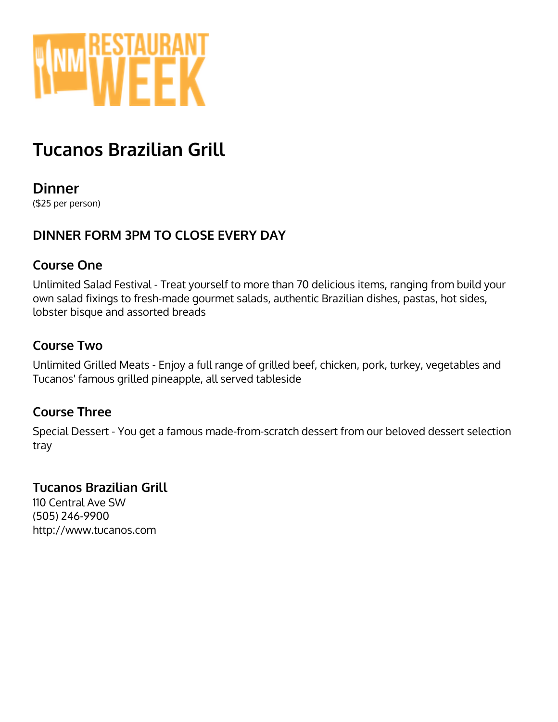

## **Tucanos Brazilian Grill**

**Dinner** (\$25 per person)

## **DINNER FORM 3PM TO CLOSE EVERY DAY**

#### **Course One**

Unlimited Salad Festival - Treat yourself to more than 70 delicious items, ranging from build your own salad fixings to fresh-made gourmet salads, authentic Brazilian dishes, pastas, hot sides, lobster bisque and assorted breads

### **Course Two**

Unlimited Grilled Meats - Enjoy a full range of grilled beef, chicken, pork, turkey, vegetables and Tucanos' famous grilled pineapple, all served tableside

### **Course Three**

Special Dessert - You get a famous made-from-scratch dessert from our beloved dessert selection tray

### **Tucanos Brazilian Grill**

110 Central Ave SW (505) 246-9900 http://www.tucanos.com